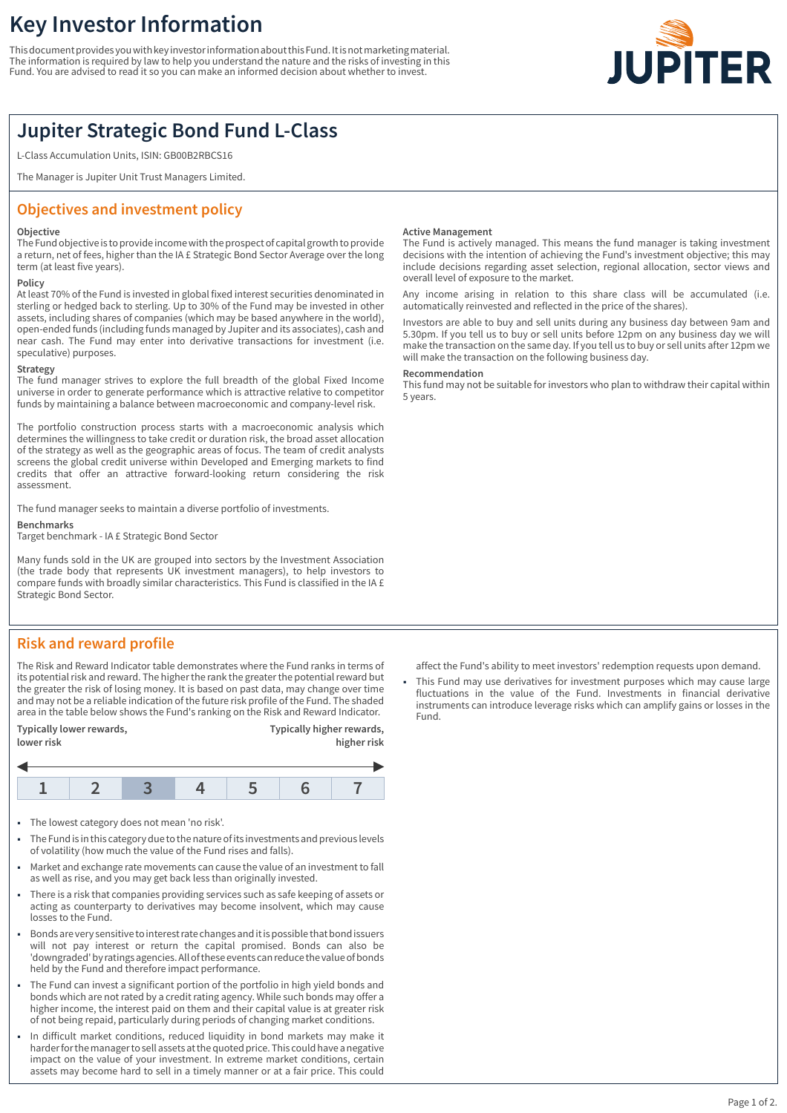# **Key Investor Information**

This document provides you with key investor information about this Fund. It is not marketing material. The information is required by law to help you understand the nature and the risks of investing in this Fund. You are advised to read it so you can make an informed decision about whether to invest.



## **Jupiter Strategic Bond Fund L-Class**

L-Class Accumulation Units, ISIN: GB00B2RBCS16

The Manager is Jupiter Unit Trust Managers Limited.

### **Objectives and investment policy**

#### **Objective**

The Fund objective is to provide income with the prospect of capital growth to provide a return, net of fees, higher than the IA £ Strategic Bond Sector Average over the long term (at least five years).

### **Policy**

At least 70% of the Fund is invested in global fixed interest securities denominated in sterling or hedged back to sterling. Up to 30% of the Fund may be invested in other assets, including shares of companies (which may be based anywhere in the world), open-ended funds (including funds managed by Jupiter and its associates), cash and near cash. The Fund may enter into derivative transactions for investment (i.e. speculative) purposes.

#### **Strategy**

The fund manager strives to explore the full breadth of the global Fixed Income universe in order to generate performance which is attractive relative to competitor funds by maintaining a balance between macroeconomic and company-level risk.

The portfolio construction process starts with a macroeconomic analysis which determines the willingness to take credit or duration risk, the broad asset allocation of the strategy as well as the geographic areas of focus. The team of credit analysts screens the global credit universe within Developed and Emerging markets to find credits that offer an attractive forward-looking return considering the risk assessment.

The fund manager seeks to maintain a diverse portfolio of investments.

#### **Benchmarks**

Target benchmark - IA £ Strategic Bond Sector

Many funds sold in the UK are grouped into sectors by the Investment Association (the trade body that represents UK investment managers), to help investors to compare funds with broadly similar characteristics. This Fund is classified in the IA £ Strategic Bond Sector.

### **Risk and reward profile**

The Risk and Reward Indicator table demonstrates where the Fund ranks in terms of its potential risk and reward. The higher the rank the greater the potential reward but the greater the risk of losing money. It is based on past data, may change over time and may not be a reliable indication of the future risk profile of the Fund. The shaded area in the table below shows the Fund's ranking on the Risk and Reward Indicator.

| Typically lower rewards,<br>lower risk |  |  |  | Typically higher rewards,<br>higher risk |  |  |  |
|----------------------------------------|--|--|--|------------------------------------------|--|--|--|
|                                        |  |  |  |                                          |  |  |  |
|                                        |  |  |  |                                          |  |  |  |

- The lowest category does not mean 'no risk'.
- 1 The Fund is in this category due to the nature of its investments and previous levels of volatility (how much the value of the Fund rises and falls).
- Market and exchange rate movements can cause the value of an investment to fall as well as rise, and you may get back less than originally invested.
- 1 There is a risk that companies providing services such as safe keeping of assets or acting as counterparty to derivatives may become insolvent, which may cause losses to the Fund.
- 1 Bonds are very sensitive to interest rate changes and it is possible that bond issuers will not pay interest or return the capital promised. Bonds can also be 'downgraded' by ratings agencies. All of these events can reduce the value of bonds held by the Fund and therefore impact performance.
- The Fund can invest a significant portion of the portfolio in high yield bonds and bonds which are not rated by a credit rating agency. While such bonds may offer a higher income, the interest paid on them and their capital value is at greater risk of not being repaid, particularly during periods of changing market conditions.
- In difficult market conditions, reduced liquidity in bond markets may make it harder for the manager to sell assets at the quoted price. This could have a negative impact on the value of your investment. In extreme market conditions, certain assets may become hard to sell in a timely manner or at a fair price. This could

#### **Active Management**

The Fund is actively managed. This means the fund manager is taking investment decisions with the intention of achieving the Fund's investment objective; this may include decisions regarding asset selection, regional allocation, sector views and overall level of exposure to the market.

Any income arising in relation to this share class will be accumulated (i.e. automatically reinvested and reflected in the price of the shares).

Investors are able to buy and sell units during any business day between 9am and 5.30pm. If you tell us to buy or sell units before 12pm on any business day we will make the transaction on the same day. If you tell us to buy or sell units after 12pm we will make the transaction on the following business day.

#### **Recommendation**

This fund may not be suitable for investors who plan to withdraw their capital within 5 years.

affect the Fund's ability to meet investors' redemption requests upon demand.

This Fund may use derivatives for investment purposes which may cause large fluctuations in the value of the Fund. Investments in financial derivative instruments can introduce leverage risks which can amplify gains or losses in the Fund.